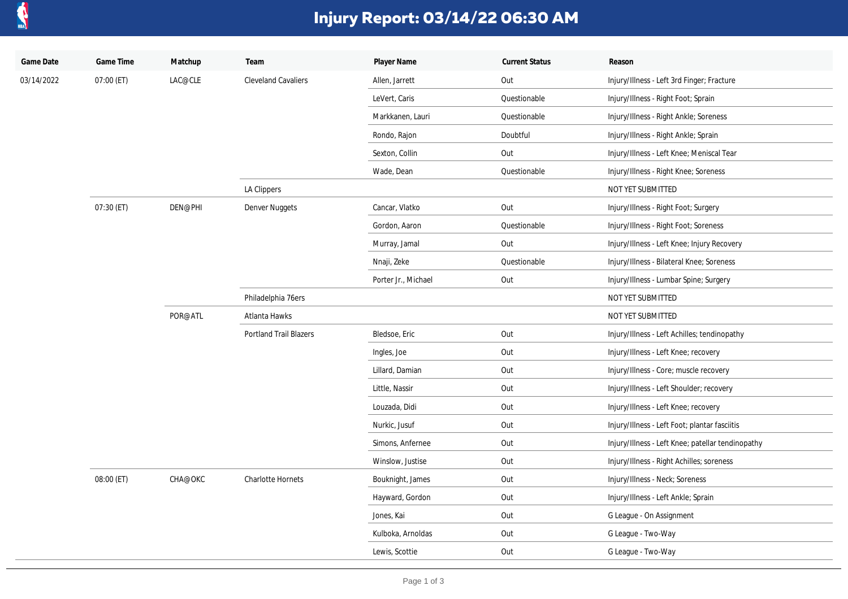

## **Injury Report: 03/14/22 06:30 AM**

| Game Date  | Game Time  | Matchup | Team                       | Player Name         | <b>Current Status</b> | Reason                                            |
|------------|------------|---------|----------------------------|---------------------|-----------------------|---------------------------------------------------|
| 03/14/2022 | 07:00 (ET) | LAC@CLE | <b>Cleveland Cavaliers</b> | Allen, Jarrett      | Out                   | Injury/Illness - Left 3rd Finger; Fracture        |
|            |            |         |                            | LeVert, Caris       | Questionable          | Injury/Illness - Right Foot; Sprain               |
|            |            |         |                            | Markkanen, Lauri    | Questionable          | Injury/Illness - Right Ankle; Soreness            |
|            |            |         |                            | Rondo, Rajon        | Doubtful              | Injury/Illness - Right Ankle; Sprain              |
|            |            |         |                            | Sexton, Collin      | Out                   | Injury/Illness - Left Knee; Meniscal Tear         |
|            |            |         |                            | Wade, Dean          | Questionable          | Injury/Illness - Right Knee; Soreness             |
|            |            |         | LA Clippers                |                     |                       | NOT YET SUBMITTED                                 |
|            | 07:30 (ET) | DEN@PHI | Denver Nuggets             | Cancar, Vlatko      | Out                   | Injury/Illness - Right Foot; Surgery              |
|            |            |         |                            | Gordon, Aaron       | Questionable          | Injury/Illness - Right Foot; Soreness             |
|            |            |         |                            | Murray, Jamal       | Out                   | Injury/Illness - Left Knee; Injury Recovery       |
|            |            |         |                            | Nnaji, Zeke         | Questionable          | Injury/Illness - Bilateral Knee; Soreness         |
|            |            |         |                            | Porter Jr., Michael | Out                   | Injury/Illness - Lumbar Spine; Surgery            |
|            |            |         | Philadelphia 76ers         |                     |                       | NOT YET SUBMITTED                                 |
|            |            | POR@ATL | Atlanta Hawks              |                     |                       | NOT YET SUBMITTED                                 |
|            |            |         | Portland Trail Blazers     | Bledsoe, Eric       | Out                   | Injury/Illness - Left Achilles; tendinopathy      |
|            |            |         |                            | Ingles, Joe         | Out                   | Injury/Illness - Left Knee; recovery              |
|            |            |         |                            | Lillard, Damian     | Out                   | Injury/Illness - Core; muscle recovery            |
|            |            |         |                            | Little, Nassir      | Out                   | Injury/Illness - Left Shoulder; recovery          |
|            |            |         |                            | Louzada, Didi       | Out                   | Injury/Illness - Left Knee; recovery              |
|            |            |         |                            | Nurkic, Jusuf       | Out                   | Injury/Illness - Left Foot; plantar fasciitis     |
|            |            |         |                            | Simons, Anfernee    | Out                   | Injury/Illness - Left Knee; patellar tendinopathy |
|            |            |         |                            | Winslow, Justise    | Out                   | Injury/Illness - Right Achilles; soreness         |
|            | 08:00 (ET) | CHA@OKC | Charlotte Hornets          | Bouknight, James    | Out                   | Injury/Illness - Neck; Soreness                   |
|            |            |         |                            | Hayward, Gordon     | Out                   | Injury/Illness - Left Ankle; Sprain               |
|            |            |         |                            | Jones, Kai          | Out                   | G League - On Assignment                          |
|            |            |         |                            | Kulboka, Arnoldas   | Out                   | G League - Two-Way                                |
|            |            |         |                            | Lewis, Scottie      | Out                   | G League - Two-Way                                |
|            |            |         |                            |                     |                       |                                                   |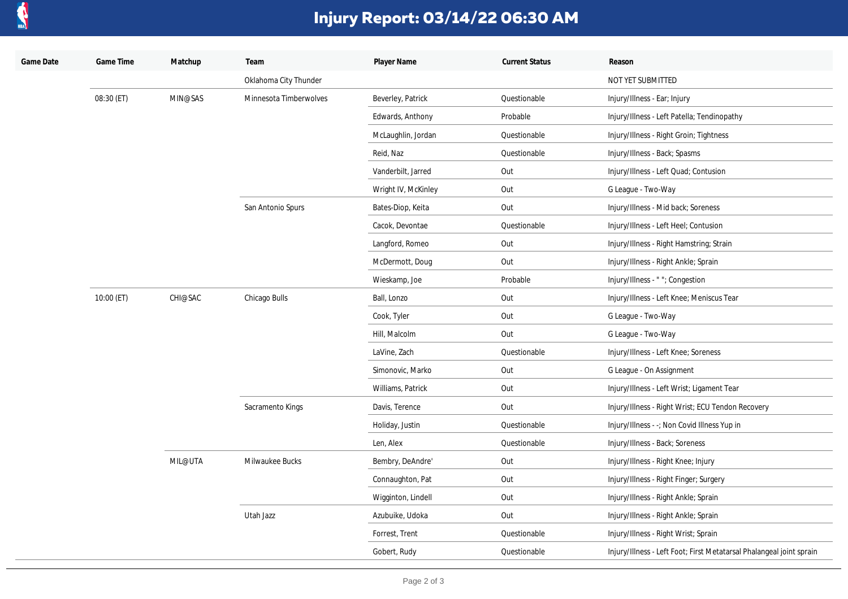

## **Injury Report: 03/14/22 06:30 AM**

| Game Date | Game Time  | Matchup | Team                   | Player Name         | <b>Current Status</b> | Reason                                                               |
|-----------|------------|---------|------------------------|---------------------|-----------------------|----------------------------------------------------------------------|
|           |            |         | Oklahoma City Thunder  |                     |                       | NOT YET SUBMITTED                                                    |
|           | 08:30 (ET) | MIN@SAS | Minnesota Timberwolves | Beverley, Patrick   | Questionable          | Injury/Illness - Ear; Injury                                         |
|           |            |         |                        | Edwards, Anthony    | Probable              | Injury/Illness - Left Patella; Tendinopathy                          |
|           |            |         |                        | McLaughlin, Jordan  | Questionable          | Injury/Illness - Right Groin; Tightness                              |
|           |            |         |                        | Reid, Naz           | Questionable          | Injury/Illness - Back; Spasms                                        |
|           |            |         |                        | Vanderbilt, Jarred  | Out                   | Injury/Illness - Left Quad; Contusion                                |
|           |            |         |                        | Wright IV, McKinley | Out                   | G League - Two-Way                                                   |
|           |            |         | San Antonio Spurs      | Bates-Diop, Keita   | Out                   | Injury/Illness - Mid back; Soreness                                  |
|           |            |         |                        | Cacok, Devontae     | Questionable          | Injury/Illness - Left Heel; Contusion                                |
|           |            |         |                        | Langford, Romeo     | Out                   | Injury/Illness - Right Hamstring; Strain                             |
|           |            |         |                        | McDermott, Doug     | Out                   | Injury/Illness - Right Ankle; Sprain                                 |
|           |            |         |                        | Wieskamp, Joe       | Probable              | Injury/Illness - ""; Congestion                                      |
|           | 10:00 (ET) | CHI@SAC | Chicago Bulls          | Ball, Lonzo         | Out                   | Injury/Illness - Left Knee; Meniscus Tear                            |
|           |            |         |                        | Cook, Tyler         | Out                   | G League - Two-Way                                                   |
|           |            |         |                        | Hill, Malcolm       | Out                   | G League - Two-Way                                                   |
|           |            |         |                        | LaVine, Zach        | Questionable          | Injury/Illness - Left Knee; Soreness                                 |
|           |            |         |                        | Simonovic, Marko    | Out                   | G League - On Assignment                                             |
|           |            |         |                        | Williams, Patrick   | Out                   | Injury/Illness - Left Wrist; Ligament Tear                           |
|           |            |         | Sacramento Kings       | Davis, Terence      | Out                   | Injury/Illness - Right Wrist; ECU Tendon Recovery                    |
|           |            |         |                        | Holiday, Justin     | Questionable          | Injury/Illness - -; Non Covid Illness Yup in                         |
|           |            |         |                        | Len, Alex           | Questionable          | Injury/Illness - Back; Soreness                                      |
|           |            | MIL@UTA | Milwaukee Bucks        | Bembry, DeAndre'    | Out                   | Injury/Illness - Right Knee; Injury                                  |
|           |            |         |                        | Connaughton, Pat    | Out                   | Injury/Illness - Right Finger; Surgery                               |
|           |            |         |                        | Wigginton, Lindell  | Out                   | Injury/Illness - Right Ankle; Sprain                                 |
|           |            |         | Utah Jazz              | Azubuike, Udoka     | Out                   | Injury/Illness - Right Ankle; Sprain                                 |
|           |            |         |                        | Forrest, Trent      | Questionable          | Injury/Illness - Right Wrist; Sprain                                 |
|           |            |         |                        | Gobert, Rudy        | Questionable          | Injury/Illness - Left Foot; First Metatarsal Phalangeal joint sprain |
|           |            |         |                        |                     |                       |                                                                      |